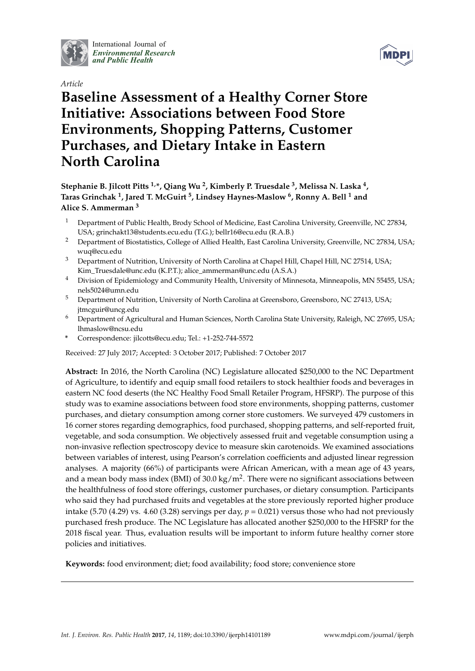

International Journal of *[Environmental Research](http://www.mdpi.com/journal/ijerph) and Public Health*





# **Baseline Assessment of a Healthy Corner Store Initiative: Associations between Food Store Environments, Shopping Patterns, Customer Purchases, and Dietary Intake in Eastern North Carolina**

## **Stephanie B. Jilcott Pitts 1,\*, Qiang Wu <sup>2</sup> , Kimberly P. Truesdale <sup>3</sup> , Melissa N. Laska <sup>4</sup> , Taras Grinchak <sup>1</sup> , Jared T. McGuirt <sup>5</sup> , Lindsey Haynes-Maslow <sup>6</sup> , Ronny A. Bell <sup>1</sup> and Alice S. Ammerman <sup>3</sup>**

- <sup>1</sup> Department of Public Health, Brody School of Medicine, East Carolina University, Greenville, NC 27834, USA; grinchakt13@students.ecu.edu (T.G.); bellr16@ecu.edu (R.A.B.)
- <sup>2</sup> Department of Biostatistics, College of Allied Health, East Carolina University, Greenville, NC 27834, USA; wuq@ecu.edu
- <sup>3</sup> Department of Nutrition, University of North Carolina at Chapel Hill, Chapel Hill, NC 27514, USA; Kim\_Truesdale@unc.edu (K.P.T.); alice\_ammerman@unc.edu (A.S.A.)
- <sup>4</sup> Division of Epidemiology and Community Health, University of Minnesota, Minneapolis, MN 55455, USA; nels5024@umn.edu
- <sup>5</sup> Department of Nutrition, University of North Carolina at Greensboro, Greensboro, NC 27413, USA; jtmcguir@uncg.edu
- <sup>6</sup> Department of Agricultural and Human Sciences, North Carolina State University, Raleigh, NC 27695, USA; lhmaslow@ncsu.edu
- **\*** Correspondence: jilcotts@ecu.edu; Tel.: +1-252-744-5572

Received: 27 July 2017; Accepted: 3 October 2017; Published: 7 October 2017

**Abstract:** In 2016, the North Carolina (NC) Legislature allocated \$250,000 to the NC Department of Agriculture, to identify and equip small food retailers to stock healthier foods and beverages in eastern NC food deserts (the NC Healthy Food Small Retailer Program, HFSRP). The purpose of this study was to examine associations between food store environments, shopping patterns, customer purchases, and dietary consumption among corner store customers. We surveyed 479 customers in 16 corner stores regarding demographics, food purchased, shopping patterns, and self-reported fruit, vegetable, and soda consumption. We objectively assessed fruit and vegetable consumption using a non-invasive reflection spectroscopy device to measure skin carotenoids. We examined associations between variables of interest, using Pearson's correlation coefficients and adjusted linear regression analyses. A majority (66%) of participants were African American, with a mean age of 43 years, and a mean body mass index (BMI) of 30.0 kg/m<sup>2</sup>. There were no significant associations between the healthfulness of food store offerings, customer purchases, or dietary consumption. Participants who said they had purchased fruits and vegetables at the store previously reported higher produce intake (5.70 (4.29) vs. 4.60 (3.28) servings per day,  $p = 0.021$ ) versus those who had not previously purchased fresh produce. The NC Legislature has allocated another \$250,000 to the HFSRP for the 2018 fiscal year. Thus, evaluation results will be important to inform future healthy corner store policies and initiatives.

**Keywords:** food environment; diet; food availability; food store; convenience store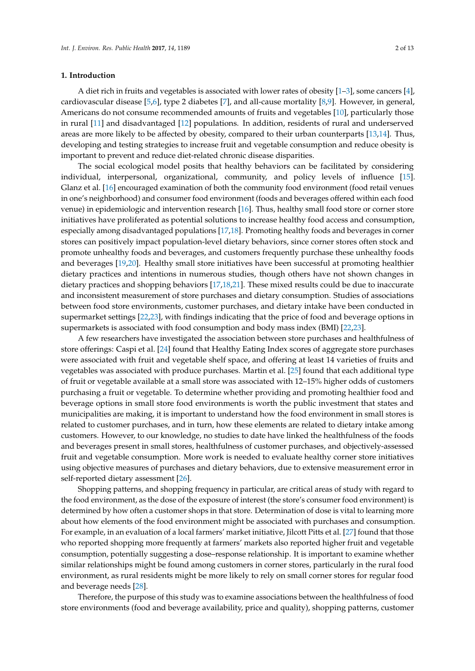#### **1. Introduction**

A diet rich in fruits and vegetables is associated with lower rates of obesity [\[1–](#page-10-0)[3\]](#page-10-1), some cancers [\[4\]](#page-10-2), cardiovascular disease [\[5,](#page-10-3)[6\]](#page-10-4), type 2 diabetes [\[7\]](#page-10-5), and all-cause mortality [\[8](#page-10-6)[,9\]](#page-10-7). However, in general, Americans do not consume recommended amounts of fruits and vegetables [\[10\]](#page-10-8), particularly those in rural [\[11\]](#page-10-9) and disadvantaged [\[12\]](#page-10-10) populations. In addition, residents of rural and underserved areas are more likely to be affected by obesity, compared to their urban counterparts [\[13,](#page-10-11)[14\]](#page-10-12). Thus, developing and testing strategies to increase fruit and vegetable consumption and reduce obesity is important to prevent and reduce diet-related chronic disease disparities.

The social ecological model posits that healthy behaviors can be facilitated by considering individual, interpersonal, organizational, community, and policy levels of influence [\[15\]](#page-10-13). Glanz et al. [\[16\]](#page-10-14) encouraged examination of both the community food environment (food retail venues in one's neighborhood) and consumer food environment (foods and beverages offered within each food venue) in epidemiologic and intervention research [\[16\]](#page-10-14). Thus, healthy small food store or corner store initiatives have proliferated as potential solutions to increase healthy food access and consumption, especially among disadvantaged populations [\[17,](#page-10-15)[18\]](#page-10-16). Promoting healthy foods and beverages in corner stores can positively impact population-level dietary behaviors, since corner stores often stock and promote unhealthy foods and beverages, and customers frequently purchase these unhealthy foods and beverages [\[19,](#page-11-0)[20\]](#page-11-1). Healthy small store initiatives have been successful at promoting healthier dietary practices and intentions in numerous studies, though others have not shown changes in dietary practices and shopping behaviors [\[17](#page-10-15)[,18](#page-10-16)[,21\]](#page-11-2). These mixed results could be due to inaccurate and inconsistent measurement of store purchases and dietary consumption. Studies of associations between food store environments, customer purchases, and dietary intake have been conducted in supermarket settings [\[22](#page-11-3)[,23\]](#page-11-4), with findings indicating that the price of food and beverage options in supermarkets is associated with food consumption and body mass index (BMI) [\[22,](#page-11-3)[23\]](#page-11-4).

A few researchers have investigated the association between store purchases and healthfulness of store offerings: Caspi et al. [\[24\]](#page-11-5) found that Healthy Eating Index scores of aggregate store purchases were associated with fruit and vegetable shelf space, and offering at least 14 varieties of fruits and vegetables was associated with produce purchases. Martin et al. [\[25\]](#page-11-6) found that each additional type of fruit or vegetable available at a small store was associated with 12–15% higher odds of customers purchasing a fruit or vegetable. To determine whether providing and promoting healthier food and beverage options in small store food environments is worth the public investment that states and municipalities are making, it is important to understand how the food environment in small stores is related to customer purchases, and in turn, how these elements are related to dietary intake among customers. However, to our knowledge, no studies to date have linked the healthfulness of the foods and beverages present in small stores, healthfulness of customer purchases, and objectively-assessed fruit and vegetable consumption. More work is needed to evaluate healthy corner store initiatives using objective measures of purchases and dietary behaviors, due to extensive measurement error in self-reported dietary assessment [\[26\]](#page-11-7).

Shopping patterns, and shopping frequency in particular, are critical areas of study with regard to the food environment, as the dose of the exposure of interest (the store's consumer food environment) is determined by how often a customer shops in that store. Determination of dose is vital to learning more about how elements of the food environment might be associated with purchases and consumption. For example, in an evaluation of a local farmers' market initiative, Jilcott Pitts et al. [\[27\]](#page-11-8) found that those who reported shopping more frequently at farmers' markets also reported higher fruit and vegetable consumption, potentially suggesting a dose–response relationship. It is important to examine whether similar relationships might be found among customers in corner stores, particularly in the rural food environment, as rural residents might be more likely to rely on small corner stores for regular food and beverage needs [\[28\]](#page-11-9).

Therefore, the purpose of this study was to examine associations between the healthfulness of food store environments (food and beverage availability, price and quality), shopping patterns, customer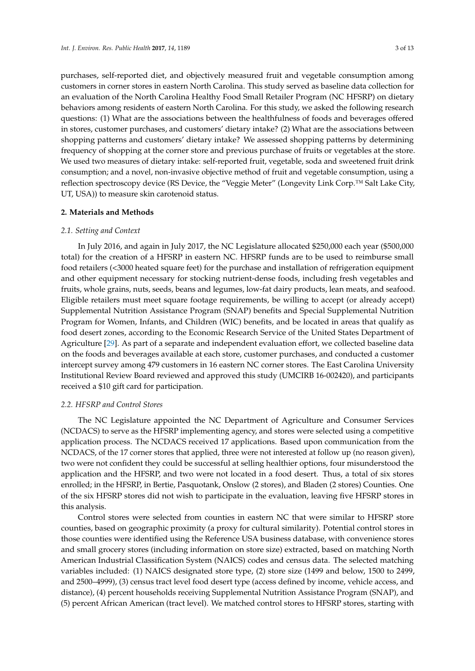purchases, self-reported diet, and objectively measured fruit and vegetable consumption among customers in corner stores in eastern North Carolina. This study served as baseline data collection for an evaluation of the North Carolina Healthy Food Small Retailer Program (NC HFSRP) on dietary behaviors among residents of eastern North Carolina. For this study, we asked the following research questions: (1) What are the associations between the healthfulness of foods and beverages offered in stores, customer purchases, and customers' dietary intake? (2) What are the associations between shopping patterns and customers' dietary intake? We assessed shopping patterns by determining frequency of shopping at the corner store and previous purchase of fruits or vegetables at the store. We used two measures of dietary intake: self-reported fruit, vegetable, soda and sweetened fruit drink consumption; and a novel, non-invasive objective method of fruit and vegetable consumption, using a reflection spectroscopy device (RS Device, the "Veggie Meter" (Longevity Link Corp.™ Salt Lake City, UT, USA)) to measure skin carotenoid status.

#### **2. Materials and Methods**

#### *2.1. Setting and Context*

In July 2016, and again in July 2017, the NC Legislature allocated \$250,000 each year (\$500,000 total) for the creation of a HFSRP in eastern NC. HFSRP funds are to be used to reimburse small food retailers (<3000 heated square feet) for the purchase and installation of refrigeration equipment and other equipment necessary for stocking nutrient-dense foods, including fresh vegetables and fruits, whole grains, nuts, seeds, beans and legumes, low-fat dairy products, lean meats, and seafood. Eligible retailers must meet square footage requirements, be willing to accept (or already accept) Supplemental Nutrition Assistance Program (SNAP) benefits and Special Supplemental Nutrition Program for Women, Infants, and Children (WIC) benefits, and be located in areas that qualify as food desert zones, according to the Economic Research Service of the United States Department of Agriculture [\[29\]](#page-11-10). As part of a separate and independent evaluation effort, we collected baseline data on the foods and beverages available at each store, customer purchases, and conducted a customer intercept survey among 479 customers in 16 eastern NC corner stores. The East Carolina University Institutional Review Board reviewed and approved this study (UMCIRB 16-002420), and participants received a \$10 gift card for participation.

## *2.2. HFSRP and Control Stores*

The NC Legislature appointed the NC Department of Agriculture and Consumer Services (NCDACS) to serve as the HFSRP implementing agency, and stores were selected using a competitive application process. The NCDACS received 17 applications. Based upon communication from the NCDACS, of the 17 corner stores that applied, three were not interested at follow up (no reason given), two were not confident they could be successful at selling healthier options, four misunderstood the application and the HFSRP, and two were not located in a food desert. Thus, a total of six stores enrolled; in the HFSRP, in Bertie, Pasquotank, Onslow (2 stores), and Bladen (2 stores) Counties. One of the six HFSRP stores did not wish to participate in the evaluation, leaving five HFSRP stores in this analysis.

Control stores were selected from counties in eastern NC that were similar to HFSRP store counties, based on geographic proximity (a proxy for cultural similarity). Potential control stores in those counties were identified using the Reference USA business database, with convenience stores and small grocery stores (including information on store size) extracted, based on matching North American Industrial Classification System (NAICS) codes and census data. The selected matching variables included: (1) NAICS designated store type, (2) store size (1499 and below, 1500 to 2499, and 2500–4999), (3) census tract level food desert type (access defined by income, vehicle access, and distance), (4) percent households receiving Supplemental Nutrition Assistance Program (SNAP), and (5) percent African American (tract level). We matched control stores to HFSRP stores, starting with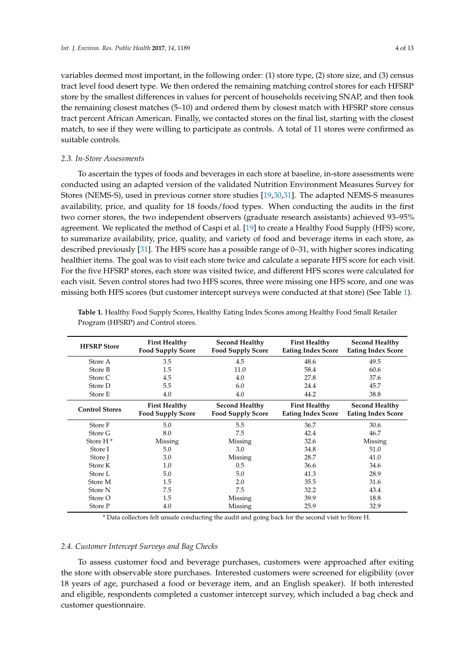variables deemed most important, in the following order: (1) store type, (2) store size, and (3) census tract level food desert type. We then ordered the remaining matching control stores for each HFSRP store by the smallest differences in values for percent of households receiving SNAP, and then took the remaining closest matches (5–10) and ordered them by closest match with HFSRP store census tract percent African American. Finally, we contacted stores on the final list, starting with the closest match, to see if they were willing to participate as controls. A total of 11 stores were confirmed as suitable controls.

### *2.3. In-Store Assessments*

To ascertain the types of foods and beverages in each store at baseline, in-store assessments were conducted using an adapted version of the validated Nutrition Environment Measures Survey for Stores (NEMS-S), used in previous corner store studies [\[19](#page-11-0)[,30](#page-11-11)[,31\]](#page-11-12). The adapted NEMS-S measures availability, price, and quality for 18 foods/food types. When conducting the audits in the first two corner stores, the two independent observers (graduate research assistants) achieved 93–95% agreement. We replicated the method of Caspi et al. [\[19\]](#page-11-0) to create a Healthy Food Supply (HFS) score, to summarize availability, price, quality, and variety of food and beverage items in each store, as described previously [\[31\]](#page-11-12). The HFS score has a possible range of 0–31, with higher scores indicating healthier items. The goal was to visit each store twice and calculate a separate HFS score for each visit. For the five HFSRP stores, each store was visited twice, and different HFS scores were calculated for each visit. Seven control stores had two HFS scores, three were missing one HFS score, and one was missing both HFS scores (but customer intercept surveys were conducted at that store) (See Table [1\)](#page-3-0).

| <b>HFSRP</b> Store    | <b>First Healthy</b><br><b>Food Supply Score</b> | <b>Second Healthy</b><br><b>Food Supply Score</b> | <b>First Healthy</b><br><b>Eating Index Score</b> | <b>Second Healthy</b><br><b>Eating Index Score</b> |
|-----------------------|--------------------------------------------------|---------------------------------------------------|---------------------------------------------------|----------------------------------------------------|
| Store A               | 3.5                                              | 4.5                                               | 48.6                                              | 49.5                                               |
| Store B               | 1.5                                              | 11.0                                              | 58.4                                              | 60.6                                               |
| Store C               | 4.5                                              | 4.0                                               | 27.8                                              | 37.6                                               |
| Store D               | 5.5                                              | 6.0                                               | 24.4                                              | 45.7                                               |
| Store E               | 4.0                                              | 4.0                                               | 44.2                                              | 38.8                                               |
| <b>Control Stores</b> | <b>First Healthy</b><br><b>Food Supply Score</b> | <b>Second Healthy</b><br><b>Food Supply Score</b> | <b>First Healthy</b><br><b>Eating Index Score</b> | <b>Second Healthy</b><br><b>Eating Index Score</b> |
| Store F               | 5.0                                              | 5.5                                               | 36.7                                              | 30.6                                               |
| Store G               | 8.0                                              | 7.5                                               | 42.4                                              | 46.7                                               |
| Store H <sup>*</sup>  | Missing                                          | Missing                                           | 32.6                                              | Missing                                            |
| Store I               | 5.0                                              | 3.0                                               | 34.8                                              | 51.0                                               |
| Store I               | 3.0                                              | Missing                                           | 28.7                                              | 41.0                                               |
| Store K               | 1.0                                              | 0.5                                               | 36.6                                              | 34.6                                               |
| Store L               | 5.0                                              | 5.0                                               | 41.3                                              | 28.9                                               |
| Store M               | 1.5                                              | 2.0                                               | 35.5                                              | 31.6                                               |
| Store N               | 7.5                                              | 7.5                                               | 32.2                                              | 43.4                                               |
| Store O               | 1.5                                              | Missing                                           | 39.9                                              | 18.8                                               |
| Store P               | 4.0                                              | Missing                                           | 25.9                                              | 32.9                                               |

<span id="page-3-0"></span>**Table 1.** Healthy Food Supply Scores, Healthy Eating Index Scores among Healthy Food Small Retailer Program (HFSRP) and Control stores.

\* Data collectors felt unsafe conducting the audit and going back for the second visit to Store H.

#### *2.4. Customer Intercept Surveys and Bag Checks*

To assess customer food and beverage purchases, customers were approached after exiting the store with observable store purchases. Interested customers were screened for eligibility (over 18 years of age, purchased a food or beverage item, and an English speaker). If both interested and eligible, respondents completed a customer intercept survey, which included a bag check and customer questionnaire.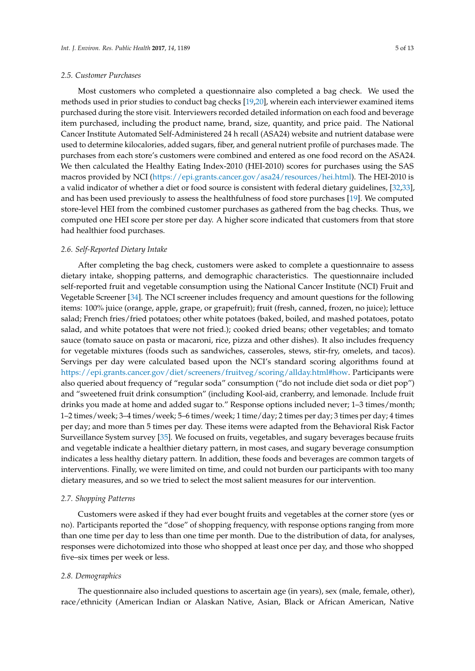#### *2.5. Customer Purchases*

Most customers who completed a questionnaire also completed a bag check. We used the methods used in prior studies to conduct bag checks [\[19](#page-11-0)[,20\]](#page-11-1), wherein each interviewer examined items purchased during the store visit. Interviewers recorded detailed information on each food and beverage item purchased, including the product name, brand, size, quantity, and price paid. The National Cancer Institute Automated Self-Administered 24 h recall (ASA24) website and nutrient database were used to determine kilocalories, added sugars, fiber, and general nutrient profile of purchases made. The purchases from each store's customers were combined and entered as one food record on the ASA24. We then calculated the Healthy Eating Index-2010 (HEI-2010) scores for purchases using the SAS macros provided by NCI [\(https://epi.grants.cancer.gov/asa24/resources/hei.html\)](https://epi.grants.cancer.gov/asa24/resources/hei.html). The HEI-2010 is a valid indicator of whether a diet or food source is consistent with federal dietary guidelines, [\[32](#page-11-13)[,33\]](#page-11-14), and has been used previously to assess the healthfulness of food store purchases [\[19\]](#page-11-0). We computed store-level HEI from the combined customer purchases as gathered from the bag checks. Thus, we computed one HEI score per store per day. A higher score indicated that customers from that store had healthier food purchases.

#### *2.6. Self-Reported Dietary Intake*

After completing the bag check, customers were asked to complete a questionnaire to assess dietary intake, shopping patterns, and demographic characteristics. The questionnaire included self-reported fruit and vegetable consumption using the National Cancer Institute (NCI) Fruit and Vegetable Screener [\[34\]](#page-11-15). The NCI screener includes frequency and amount questions for the following items: 100% juice (orange, apple, grape, or grapefruit); fruit (fresh, canned, frozen, no juice); lettuce salad; French fries/fried potatoes; other white potatoes (baked, boiled, and mashed potatoes, potato salad, and white potatoes that were not fried.); cooked dried beans; other vegetables; and tomato sauce (tomato sauce on pasta or macaroni, rice, pizza and other dishes). It also includes frequency for vegetable mixtures (foods such as sandwiches, casseroles, stews, stir-fry, omelets, and tacos). Servings per day were calculated based upon the NCI's standard scoring algorithms found at [https://epi.grants.cancer.gov/diet/screeners/fruitveg/scoring/allday.html#how.](https://epi.grants.cancer.gov/diet/screeners/fruitveg/scoring/allday.html#how) Participants were also queried about frequency of "regular soda" consumption ("do not include diet soda or diet pop") and "sweetened fruit drink consumption" (including Kool-aid, cranberry, and lemonade. Include fruit drinks you made at home and added sugar to." Response options included never; 1–3 times/month; 1–2 times/week; 3–4 times/week; 5–6 times/week; 1 time/day; 2 times per day; 3 times per day; 4 times per day; and more than 5 times per day. These items were adapted from the Behavioral Risk Factor Surveillance System survey [\[35\]](#page-12-0). We focused on fruits, vegetables, and sugary beverages because fruits and vegetable indicate a healthier dietary pattern, in most cases, and sugary beverage consumption indicates a less healthy dietary pattern. In addition, these foods and beverages are common targets of interventions. Finally, we were limited on time, and could not burden our participants with too many dietary measures, and so we tried to select the most salient measures for our intervention.

#### *2.7. Shopping Patterns*

Customers were asked if they had ever bought fruits and vegetables at the corner store (yes or no). Participants reported the "dose" of shopping frequency, with response options ranging from more than one time per day to less than one time per month. Due to the distribution of data, for analyses, responses were dichotomized into those who shopped at least once per day, and those who shopped five–six times per week or less.

#### *2.8. Demographics*

The questionnaire also included questions to ascertain age (in years), sex (male, female, other), race/ethnicity (American Indian or Alaskan Native, Asian, Black or African American, Native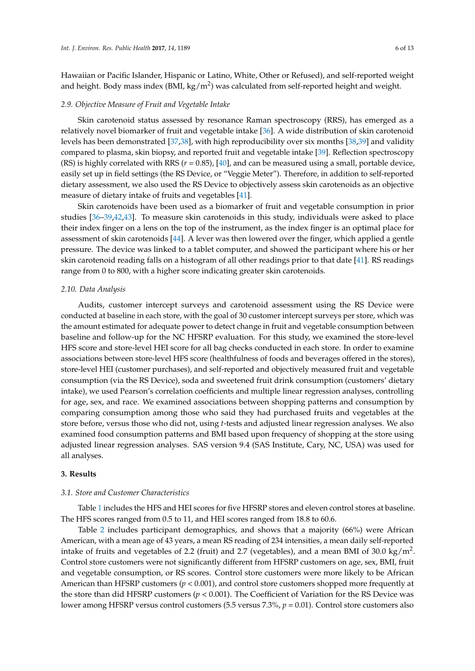Hawaiian or Pacific Islander, Hispanic or Latino, White, Other or Refused), and self-reported weight and height. Body mass index (BMI, kg/m<sup>2</sup>) was calculated from self-reported height and weight.

#### *2.9. Objective Measure of Fruit and Vegetable Intake*

Skin carotenoid status assessed by resonance Raman spectroscopy (RRS), has emerged as a relatively novel biomarker of fruit and vegetable intake [\[36\]](#page-12-1). A wide distribution of skin carotenoid levels has been demonstrated [\[37,](#page-12-2)[38\]](#page-12-3), with high reproducibility over six months [\[38,](#page-12-3)[39\]](#page-12-4) and validity compared to plasma, skin biopsy, and reported fruit and vegetable intake [\[39\]](#page-12-4). Reflection spectroscopy (RS) is highly correlated with RRS ( $r = 0.85$ ), [\[40\]](#page-12-5), and can be measured using a small, portable device, easily set up in field settings (the RS Device, or "Veggie Meter"). Therefore, in addition to self-reported dietary assessment, we also used the RS Device to objectively assess skin carotenoids as an objective measure of dietary intake of fruits and vegetables [\[41\]](#page-12-6).

Skin carotenoids have been used as a biomarker of fruit and vegetable consumption in prior studies [\[36](#page-12-1)[–39](#page-12-4)[,42](#page-12-7)[,43\]](#page-12-8). To measure skin carotenoids in this study, individuals were asked to place their index finger on a lens on the top of the instrument, as the index finger is an optimal place for assessment of skin carotenoids [\[44\]](#page-12-9). A lever was then lowered over the finger, which applied a gentle pressure. The device was linked to a tablet computer, and showed the participant where his or her skin carotenoid reading falls on a histogram of all other readings prior to that date [\[41\]](#page-12-6). RS readings range from 0 to 800, with a higher score indicating greater skin carotenoids.

## *2.10. Data Analysis*

Audits, customer intercept surveys and carotenoid assessment using the RS Device were conducted at baseline in each store, with the goal of 30 customer intercept surveys per store, which was the amount estimated for adequate power to detect change in fruit and vegetable consumption between baseline and follow-up for the NC HFSRP evaluation. For this study, we examined the store-level HFS score and store-level HEI score for all bag checks conducted in each store. In order to examine associations between store-level HFS score (healthfulness of foods and beverages offered in the stores), store-level HEI (customer purchases), and self-reported and objectively measured fruit and vegetable consumption (via the RS Device), soda and sweetened fruit drink consumption (customers' dietary intake), we used Pearson's correlation coefficients and multiple linear regression analyses, controlling for age, sex, and race. We examined associations between shopping patterns and consumption by comparing consumption among those who said they had purchased fruits and vegetables at the store before, versus those who did not, using *t*-tests and adjusted linear regression analyses. We also examined food consumption patterns and BMI based upon frequency of shopping at the store using adjusted linear regression analyses. SAS version 9.4 (SAS Institute, Cary, NC, USA) was used for all analyses.

## **3. Results**

## *3.1. Store and Customer Characteristics*

Table [1](#page-3-0) includes the HFS and HEI scores for five HFSRP stores and eleven control stores at baseline. The HFS scores ranged from 0.5 to 11, and HEI scores ranged from 18.8 to 60.6.

Table [2](#page-6-0) includes participant demographics, and shows that a majority (66%) were African American, with a mean age of 43 years, a mean RS reading of 234 intensities, a mean daily self-reported intake of fruits and vegetables of 2.2 (fruit) and 2.7 (vegetables), and a mean BMI of 30.0 kg/m<sup>2</sup>. Control store customers were not significantly different from HFSRP customers on age, sex, BMI, fruit and vegetable consumption, or RS scores. Control store customers were more likely to be African American than HFSRP customers (*p* < 0.001), and control store customers shopped more frequently at the store than did HFSRP customers (*p* < 0.001). The Coefficient of Variation for the RS Device was lower among HFSRP versus control customers (5.5 versus 7.3%, *p* = 0.01). Control store customers also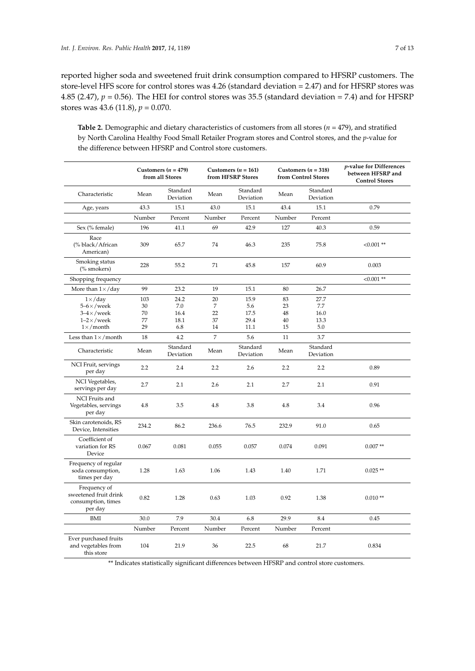reported higher soda and sweetened fruit drink consumption compared to HFSRP customers. The store-level HFS score for control stores was 4.26 (standard deviation = 2.47) and for HFSRP stores was 4.85 (2.47),  $p = 0.56$ ). The HEI for control stores was 35.5 (standard deviation = 7.4) and for HFSRP stores was 43.6 (11.8), *p* = 0.070.

<span id="page-6-0"></span>**Table 2.** Demographic and dietary characteristics of customers from all stores (*n* = 479), and stratified by North Carolina Healthy Food Small Retailer Program stores and Control stores, and the *p*-value for the difference between HFSRP and Control store customers.

|                                                                        |        | Customers ( $n = 479$ )<br>from all Stores |                | Customers ( $n = 161$ )<br>Customers ( $n = 318$ )<br>from HFSRP Stores<br>from Control Stores |        | p-value for Differences<br>between HFSRP and<br><b>Control Stores</b> |              |
|------------------------------------------------------------------------|--------|--------------------------------------------|----------------|------------------------------------------------------------------------------------------------|--------|-----------------------------------------------------------------------|--------------|
| Characteristic                                                         | Mean   | Standard<br>Deviation                      | Mean           | Standard<br>Deviation                                                                          | Mean   | Standard<br>Deviation                                                 |              |
| Age, years                                                             | 43.3   | 15.1                                       | 43.0           | 15.1                                                                                           | 43.4   | 15.1                                                                  | 0.79         |
|                                                                        | Number | Percent                                    | Number         | Percent                                                                                        | Number | Percent                                                               |              |
| Sex (% female)                                                         | 196    | 41.1                                       | 69             | 42.9                                                                                           | 127    | 40.3                                                                  | 0.59         |
| Race<br>(% black/African<br>American)                                  | 309    | 65.7                                       | 74             | 46.3                                                                                           | 235    | 75.8                                                                  | $< 0.001$ ** |
| Smoking status<br>(% smokers)                                          | 228    | 55.2                                       | 71             | 45.8                                                                                           | 157    | 60.9                                                                  | 0.003        |
| Shopping frequency                                                     |        |                                            |                |                                                                                                |        |                                                                       | $< 0.001$ ** |
| More than $1 \times /$ day                                             | 99     | 23.2                                       | 19             | 15.1                                                                                           | 80     | 26.7                                                                  |              |
| $1 \times /$ day                                                       | 103    | 24.2                                       | 20             | 15.9                                                                                           | 83     | 27.7                                                                  |              |
| $5-6 \times$ /week                                                     | 30     | 7.0                                        | 7              | 5.6                                                                                            | 23     | 7.7                                                                   |              |
| $3-4\times$ /week                                                      | 70     | 16.4                                       | 22             | 17.5                                                                                           | 48     | 16.0                                                                  |              |
| $1-2\times$ /week                                                      | 77     | 18.1                                       | 37             | 29.4                                                                                           | 40     | 13.3                                                                  |              |
| $1 \times /$ month                                                     | 29     | 6.8                                        | 14             | 11.1                                                                                           | 15     | 5.0                                                                   |              |
| Less than $1 \times /$ month                                           | 18     | 4.2                                        | $\overline{7}$ | 5.6                                                                                            | 11     | 3.7                                                                   |              |
| Characteristic                                                         | Mean   | Standard<br>Deviation                      | Mean           | Standard<br>Deviation                                                                          | Mean   | Standard<br>Deviation                                                 |              |
| NCI Fruit, servings<br>per day                                         | 2.2    | 2.4                                        | 2.2            | 2.6                                                                                            | 2.2    | 2.2                                                                   | 0.89         |
| NCI Vegetables,<br>servings per day                                    | 2.7    | 2.1                                        | 2.6            | 2.1                                                                                            | 2.7    | 2.1                                                                   | 0.91         |
| NCI Fruits and<br>Vegetables, servings<br>per day                      | 4.8    | 3.5                                        | 4.8            | 3.8                                                                                            | 4.8    | 3.4                                                                   | 0.96         |
| Skin carotenoids, RS<br>Device, Intensities                            | 234.2  | 86.2                                       | 236.6          | 76.5                                                                                           | 232.9  | 91.0                                                                  | 0.65         |
| Coefficient of<br>variation for RS<br>Device                           | 0.067  | 0.081                                      | 0.055          | 0.057                                                                                          | 0.074  | 0.091                                                                 | $0.007**$    |
| Frequency of regular<br>soda consumption,<br>times per day             | 1.28   | 1.63                                       | 1.06           | 1.43                                                                                           | 1.40   | 1.71                                                                  | $0.025$ **   |
| Frequency of<br>sweetened fruit drink<br>consumption, times<br>per day | 0.82   | 1.28                                       | 0.63           | 1.03                                                                                           | 0.92   | 1.38                                                                  | $0.010**$    |
| BMI                                                                    | 30.0   | 7.9                                        | 30.4           | 6.8                                                                                            | 29.9   | 8.4                                                                   | 0.45         |
|                                                                        | Number | Percent                                    | Number         | Percent                                                                                        | Number | Percent                                                               |              |
| Ever purchased fruits<br>and vegetables from<br>this store             | 104    | 21.9                                       | 36             | 22.5                                                                                           | 68     | 21.7                                                                  | 0.834        |

\*\* Indicates statistically significant differences between HFSRP and control store customers.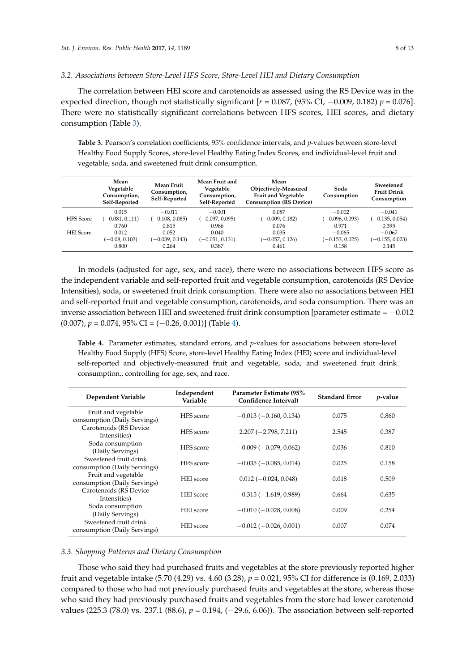#### *3.2. Associations between Store-Level HFS Score, Store-Level HEI and Dietary Consumption*

The correlation between HEI score and carotenoids as assessed using the RS Device was in the expected direction, though not statistically significant  $[r = 0.087, (95\% \text{ CI}, -0.009, 0.182) p = 0.076]$ . There were no statistically significant correlations between HFS scores, HEI scores, and dietary consumption (Table [3\)](#page-7-0).

<span id="page-7-0"></span>**Table 3.** Pearson's correlation coefficients, 95% confidence intervals, and *p*-values between store-level Healthy Food Supply Scores, store-level Healthy Eating Index Scores, and individual-level fruit and vegetable, soda, and sweetened fruit drink consumption.

|                  | Mean<br>Vegetable<br>Consumption,<br>Self-Reported | <b>Mean Fruit</b><br>Consumption,<br>Self-Reported | Mean Fruit and<br>Vegetable<br>Consumption,<br>Self-Reported | Mean<br>Objectively-Measured<br>Fruit and Vegetable<br><b>Consumption (RS Device)</b> | Soda<br>Consumption | Sweetened<br><b>Fruit Drink</b><br>Consumption |
|------------------|----------------------------------------------------|----------------------------------------------------|--------------------------------------------------------------|---------------------------------------------------------------------------------------|---------------------|------------------------------------------------|
|                  | 0.015                                              | $-0.011$                                           | $-0.001$                                                     | 0.087                                                                                 | $-0.002$            | $-0.041$                                       |
| <b>HFS</b> Score | $(-0.081, 0.111)$                                  | $(-0.108, 0.085)$                                  | $(-0.097, 0.095)$                                            | $(-0.009, 0.182)$                                                                     | $(-0.096, 0.093)$   | $(-0.135, 0.054)$                              |
|                  | 0.760                                              | 0.815                                              | 0.986                                                        | 0.076                                                                                 | 0.971               | 0.395                                          |
| <b>HEI</b> Score | 0.012                                              | 0.052                                              | 0.040                                                        | 0.035                                                                                 | $-0.065$            | $-0.067$                                       |
|                  | $(-0.08, 0.103)$                                   | $(-0.039, 0.143)$                                  | $(-0.051, 0.131)$                                            | $(-0.057, 0.126)$                                                                     | $(-0.153, 0.025)$   | $(-0.155, 0.023)$                              |
|                  | 0.800                                              | 0.264                                              | 0.387                                                        | 0.461                                                                                 | 0.158               | 0.145                                          |

In models (adjusted for age, sex, and race), there were no associations between HFS score as the independent variable and self-reported fruit and vegetable consumption, carotenoids (RS Device Intensities), soda, or sweetened fruit drink consumption. There were also no associations between HEI and self-reported fruit and vegetable consumption, carotenoids, and soda consumption. There was an inverse association between HEI and sweetened fruit drink consumption [parameter estimate =  $-0.012$  $(0.007)$ ,  $p = 0.074$ ,  $95\%$  CI =  $(-0.26, 0.001)$ ] (Table [4\)](#page-7-1).

<span id="page-7-1"></span>**Table 4.** Parameter estimates, standard errors, and *p*-values for associations between store-level Healthy Food Supply (HFS) Score, store-level Healthy Eating Index (HEI) score and individual-level self-reported and objectively-measured fruit and vegetable, soda, and sweetened fruit drink consumption., controlling for age, sex, and race.

| Dependent Variable                                    | Independent<br>Variable | Parameter Estimate (95%)<br>Confidence Interval) | <b>Standard Error</b> | <i>p</i> -value |
|-------------------------------------------------------|-------------------------|--------------------------------------------------|-----------------------|-----------------|
| Fruit and vegetable<br>consumption (Daily Servings)   | HFS score               | $-0.013(-0.160, 0.134)$                          | 0.075                 | 0.860           |
| Carotenoids (RS Device<br>Intensities)                | HFS score               | $2.207 (-2.798, 7.211)$                          | 2.545                 | 0.387           |
| Soda consumption<br>(Daily Servings)                  | HFS score               | $-0.009(-0.079, 0.062)$                          | 0.036                 | 0.810           |
| Sweetened fruit drink<br>consumption (Daily Servings) | HFS score               | $-0.035(-0.085, 0.014)$                          | 0.025                 | 0.158           |
| Fruit and vegetable<br>consumption (Daily Servings)   | <b>HEI</b> score        | $0.012(-0.024, 0.048)$                           | 0.018                 | 0.509           |
| Carotenoids (RS Device<br>Intensities)                | <b>HEI</b> score        | $-0.315(-1.619, 0.989)$                          | 0.664                 | 0.635           |
| Soda consumption<br>(Daily Servings)                  | <b>HEI</b> score        | $-0.010(-0.028, 0.008)$                          | 0.009                 | 0.254           |
| Sweetened fruit drink<br>consumption (Daily Servings) | <b>HEI</b> score        | $-0.012$ ( $-0.026$ , 0.001)                     | 0.007                 | 0.074           |

#### *3.3. Shopping Patterns and Dietary Consumption*

Those who said they had purchased fruits and vegetables at the store previously reported higher fruit and vegetable intake (5.70 (4.29) vs. 4.60 (3.28), *p* = 0.021, 95% CI for difference is (0.169, 2.033) compared to those who had not previously purchased fruits and vegetables at the store, whereas those who said they had previously purchased fruits and vegetables from the store had lower carotenoid values (225.3 (78.0) vs. 237.1 (88.6), *p* = 0.194, (−29.6, 6.06)). The association between self-reported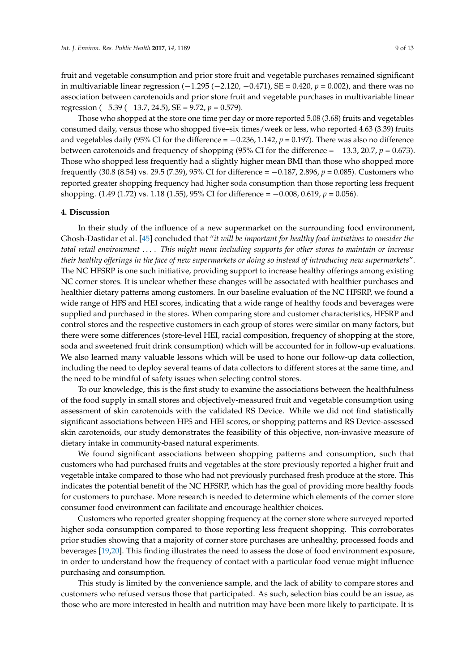fruit and vegetable consumption and prior store fruit and vegetable purchases remained significant in multivariable linear regression (−1.295 (−2.120, −0.471), SE = 0.420, *p* = 0.002), and there was no association between carotenoids and prior store fruit and vegetable purchases in multivariable linear regression (−5.39 (−13.7, 24.5), SE = 9.72, *p* = 0.579).

Those who shopped at the store one time per day or more reported 5.08 (3.68) fruits and vegetables consumed daily, versus those who shopped five–six times/week or less, who reported 4.63 (3.39) fruits and vegetables daily (95% CI for the difference  $= -0.236$ , 1.142,  $p = 0.197$ ). There was also no difference between carotenoids and frequency of shopping (95% CI for the difference = −13.3, 20.7, *p* = 0.673). Those who shopped less frequently had a slightly higher mean BMI than those who shopped more frequently (30.8 (8.54) vs. 29.5 (7.39), 95% CI for difference = −0.187, 2.896, *p* = 0.085). Customers who reported greater shopping frequency had higher soda consumption than those reporting less frequent shopping. (1.49 (1.72) vs. 1.18 (1.55), 95% CI for difference = −0.008, 0.619, *p* = 0.056).

#### **4. Discussion**

In their study of the influence of a new supermarket on the surrounding food environment, Ghosh-Dastidar et al. [\[45\]](#page-12-10) concluded that "*it will be important for healthy food initiatives to consider the total retail environment* . . . *. This might mean including supports for other stores to maintain or increase their healthy offerings in the face of new supermarkets or doing so instead of introducing new supermarkets*". The NC HFSRP is one such initiative, providing support to increase healthy offerings among existing NC corner stores. It is unclear whether these changes will be associated with healthier purchases and healthier dietary patterns among customers. In our baseline evaluation of the NC HFSRP, we found a wide range of HFS and HEI scores, indicating that a wide range of healthy foods and beverages were supplied and purchased in the stores. When comparing store and customer characteristics, HFSRP and control stores and the respective customers in each group of stores were similar on many factors, but there were some differences (store-level HEI, racial composition, frequency of shopping at the store, soda and sweetened fruit drink consumption) which will be accounted for in follow-up evaluations. We also learned many valuable lessons which will be used to hone our follow-up data collection, including the need to deploy several teams of data collectors to different stores at the same time, and the need to be mindful of safety issues when selecting control stores.

To our knowledge, this is the first study to examine the associations between the healthfulness of the food supply in small stores and objectively-measured fruit and vegetable consumption using assessment of skin carotenoids with the validated RS Device. While we did not find statistically significant associations between HFS and HEI scores, or shopping patterns and RS Device-assessed skin carotenoids, our study demonstrates the feasibility of this objective, non-invasive measure of dietary intake in community-based natural experiments.

We found significant associations between shopping patterns and consumption, such that customers who had purchased fruits and vegetables at the store previously reported a higher fruit and vegetable intake compared to those who had not previously purchased fresh produce at the store. This indicates the potential benefit of the NC HFSRP, which has the goal of providing more healthy foods for customers to purchase. More research is needed to determine which elements of the corner store consumer food environment can facilitate and encourage healthier choices.

Customers who reported greater shopping frequency at the corner store where surveyed reported higher soda consumption compared to those reporting less frequent shopping. This corroborates prior studies showing that a majority of corner store purchases are unhealthy, processed foods and beverages [\[19,](#page-11-0)[20\]](#page-11-1). This finding illustrates the need to assess the dose of food environment exposure, in order to understand how the frequency of contact with a particular food venue might influence purchasing and consumption.

This study is limited by the convenience sample, and the lack of ability to compare stores and customers who refused versus those that participated. As such, selection bias could be an issue, as those who are more interested in health and nutrition may have been more likely to participate. It is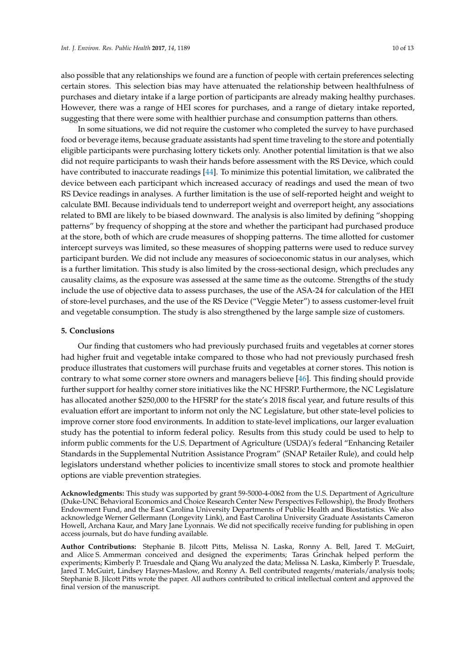also possible that any relationships we found are a function of people with certain preferences selecting certain stores. This selection bias may have attenuated the relationship between healthfulness of purchases and dietary intake if a large portion of participants are already making healthy purchases. However, there was a range of HEI scores for purchases, and a range of dietary intake reported, suggesting that there were some with healthier purchase and consumption patterns than others.

In some situations, we did not require the customer who completed the survey to have purchased food or beverage items, because graduate assistants had spent time traveling to the store and potentially eligible participants were purchasing lottery tickets only. Another potential limitation is that we also did not require participants to wash their hands before assessment with the RS Device, which could have contributed to inaccurate readings [\[44\]](#page-12-9). To minimize this potential limitation, we calibrated the device between each participant which increased accuracy of readings and used the mean of two RS Device readings in analyses. A further limitation is the use of self-reported height and weight to calculate BMI. Because individuals tend to underreport weight and overreport height, any associations related to BMI are likely to be biased downward. The analysis is also limited by defining "shopping patterns" by frequency of shopping at the store and whether the participant had purchased produce at the store, both of which are crude measures of shopping patterns. The time allotted for customer intercept surveys was limited, so these measures of shopping patterns were used to reduce survey participant burden. We did not include any measures of socioeconomic status in our analyses, which is a further limitation. This study is also limited by the cross-sectional design, which precludes any causality claims, as the exposure was assessed at the same time as the outcome. Strengths of the study include the use of objective data to assess purchases, the use of the ASA-24 for calculation of the HEI of store-level purchases, and the use of the RS Device ("Veggie Meter") to assess customer-level fruit and vegetable consumption. The study is also strengthened by the large sample size of customers.

### **5. Conclusions**

Our finding that customers who had previously purchased fruits and vegetables at corner stores had higher fruit and vegetable intake compared to those who had not previously purchased fresh produce illustrates that customers will purchase fruits and vegetables at corner stores. This notion is contrary to what some corner store owners and managers believe [\[46\]](#page-12-11). This finding should provide further support for healthy corner store initiatives like the NC HFSRP. Furthermore, the NC Legislature has allocated another \$250,000 to the HFSRP for the state's 2018 fiscal year, and future results of this evaluation effort are important to inform not only the NC Legislature, but other state-level policies to improve corner store food environments. In addition to state-level implications, our larger evaluation study has the potential to inform federal policy. Results from this study could be used to help to inform public comments for the U.S. Department of Agriculture (USDA)'s federal "Enhancing Retailer Standards in the Supplemental Nutrition Assistance Program" (SNAP Retailer Rule), and could help legislators understand whether policies to incentivize small stores to stock and promote healthier options are viable prevention strategies.

**Acknowledgments:** This study was supported by grant 59-5000-4-0062 from the U.S. Department of Agriculture (Duke-UNC Behavioral Economics and Choice Research Center New Perspectives Fellowship), the Brody Brothers Endowment Fund, and the East Carolina University Departments of Public Health and Biostatistics. We also acknowledge Werner Gellermann (Longevity Link), and East Carolina University Graduate Assistants Cameron Howell, Archana Kaur, and Mary Jane Lyonnais. We did not specifically receive funding for publishing in open access journals, but do have funding available.

**Author Contributions:** Stephanie B. Jilcott Pitts, Melissa N. Laska, Ronny A. Bell, Jared T. McGuirt, and Alice S. Ammerman conceived and designed the experiments; Taras Grinchak helped perform the experiments; Kimberly P. Truesdale and Qiang Wu analyzed the data; Melissa N. Laska, Kimberly P. Truesdale, Jared T. McGuirt, Lindsey Haynes-Maslow, and Ronny A. Bell contributed reagents/materials/analysis tools; Stephanie B. Jilcott Pitts wrote the paper. All authors contributed to critical intellectual content and approved the final version of the manuscript.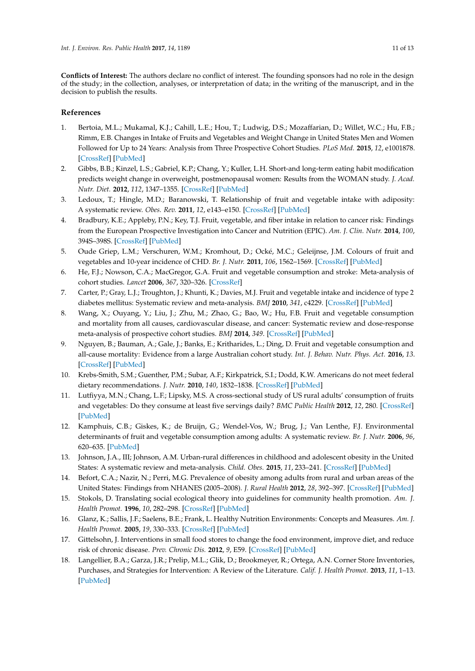**Conflicts of Interest:** The authors declare no conflict of interest. The founding sponsors had no role in the design of the study; in the collection, analyses, or interpretation of data; in the writing of the manuscript, and in the decision to publish the results.

## **References**

- <span id="page-10-0"></span>1. Bertoia, M.L.; Mukamal, K.J.; Cahill, L.E.; Hou, T.; Ludwig, D.S.; Mozaffarian, D.; Willet, W.C.; Hu, F.B.; Rimm, E.B. Changes in Intake of Fruits and Vegetables and Weight Change in United States Men and Women Followed for Up to 24 Years: Analysis from Three Prospective Cohort Studies. *PLoS Med.* **2015**, *12*, e1001878. [\[CrossRef\]](http://dx.doi.org/10.1371/journal.pmed.1001878) [\[PubMed\]](http://www.ncbi.nlm.nih.gov/pubmed/26394033)
- 2. Gibbs, B.B.; Kinzel, L.S.; Gabriel, K.P.; Chang, Y.; Kuller, L.H. Short-and long-term eating habit modification predicts weight change in overweight, postmenopausal women: Results from the WOMAN study. *J. Acad. Nutr. Diet.* **2012**, *112*, 1347–1355. [\[CrossRef\]](http://dx.doi.org/10.1016/j.jand.2012.06.012) [\[PubMed\]](http://www.ncbi.nlm.nih.gov/pubmed/22939439)
- <span id="page-10-1"></span>3. Ledoux, T.; Hingle, M.D.; Baranowski, T. Relationship of fruit and vegetable intake with adiposity: A systematic review. *Obes. Rev.* **2011**, *12*, e143–e150. [\[CrossRef\]](http://dx.doi.org/10.1111/j.1467-789X.2010.00786.x) [\[PubMed\]](http://www.ncbi.nlm.nih.gov/pubmed/20633234)
- <span id="page-10-2"></span>4. Bradbury, K.E.; Appleby, P.N.; Key, T.J. Fruit, vegetable, and fiber intake in relation to cancer risk: Findings from the European Prospective Investigation into Cancer and Nutrition (EPIC). *Am. J. Clin. Nutr.* **2014**, *100*, 394S–398S. [\[CrossRef\]](http://dx.doi.org/10.3945/ajcn.113.071357) [\[PubMed\]](http://www.ncbi.nlm.nih.gov/pubmed/24920034)
- <span id="page-10-3"></span>5. Oude Griep, L.M.; Verschuren, W.M.; Kromhout, D.; Ocké, M.C.; Geleijnse, J.M. Colours of fruit and vegetables and 10-year incidence of CHD. *Br. J. Nutr.* **2011**, *106*, 1562–1569. [\[CrossRef\]](http://dx.doi.org/10.1017/S0007114511001942) [\[PubMed\]](http://www.ncbi.nlm.nih.gov/pubmed/21676275)
- <span id="page-10-4"></span>6. He, F.J.; Nowson, C.A.; MacGregor, G.A. Fruit and vegetable consumption and stroke: Meta-analysis of cohort studies. *Lancet* **2006**, *367*, 320–326. [\[CrossRef\]](http://dx.doi.org/10.1016/S0140-6736(06)68069-0)
- <span id="page-10-5"></span>7. Carter, P.; Gray, L.J.; Troughton, J.; Khunti, K.; Davies, M.J. Fruit and vegetable intake and incidence of type 2 diabetes mellitus: Systematic review and meta-analysis. *BMJ* **2010**, *341*, c4229. [\[CrossRef\]](http://dx.doi.org/10.1136/bmj.c4229) [\[PubMed\]](http://www.ncbi.nlm.nih.gov/pubmed/20724400)
- <span id="page-10-6"></span>8. Wang, X.; Ouyang, Y.; Liu, J.; Zhu, M.; Zhao, G.; Bao, W.; Hu, F.B. Fruit and vegetable consumption and mortality from all causes, cardiovascular disease, and cancer: Systematic review and dose-response meta-analysis of prospective cohort studies. *BMJ* **2014**, *349*. [\[CrossRef\]](http://dx.doi.org/10.1136/bmj.g4490) [\[PubMed\]](http://www.ncbi.nlm.nih.gov/pubmed/25073782)
- <span id="page-10-7"></span>9. Nguyen, B.; Bauman, A.; Gale, J.; Banks, E.; Kritharides, L.; Ding, D. Fruit and vegetable consumption and all-cause mortality: Evidence from a large Australian cohort study. *Int. J. Behav. Nutr. Phys. Act.* **2016**, *13*. [\[CrossRef\]](http://dx.doi.org/10.1186/s12966-016-0334-5) [\[PubMed\]](http://www.ncbi.nlm.nih.gov/pubmed/26810760)
- <span id="page-10-8"></span>10. Krebs-Smith, S.M.; Guenther, P.M.; Subar, A.F.; Kirkpatrick, S.I.; Dodd, K.W. Americans do not meet federal dietary recommendations. *J. Nutr.* **2010**, *140*, 1832–1838. [\[CrossRef\]](http://dx.doi.org/10.3945/jn.110.124826) [\[PubMed\]](http://www.ncbi.nlm.nih.gov/pubmed/20702750)
- <span id="page-10-9"></span>11. Lutfiyya, M.N.; Chang, L.F.; Lipsky, M.S. A cross-sectional study of US rural adults' consumption of fruits and vegetables: Do they consume at least five servings daily? *BMC Public Health* **2012**, *12*, 280. [\[CrossRef\]](http://dx.doi.org/10.1186/1471-2458-12-280) [\[PubMed\]](http://www.ncbi.nlm.nih.gov/pubmed/22490063)
- <span id="page-10-10"></span>12. Kamphuis, C.B.; Giskes, K.; de Bruijn, G.; Wendel-Vos, W.; Brug, J.; Van Lenthe, F.J. Environmental determinants of fruit and vegetable consumption among adults: A systematic review. *Br. J. Nutr.* **2006**, *96*, 620–635. [\[PubMed\]](http://www.ncbi.nlm.nih.gov/pubmed/17010219)
- <span id="page-10-11"></span>13. Johnson, J.A., III; Johnson, A.M. Urban-rural differences in childhood and adolescent obesity in the United States: A systematic review and meta-analysis. *Child. Obes.* **2015**, *11*, 233–241. [\[CrossRef\]](http://dx.doi.org/10.1089/chi.2014.0085) [\[PubMed\]](http://www.ncbi.nlm.nih.gov/pubmed/25928227)
- <span id="page-10-12"></span>14. Befort, C.A.; Nazir, N.; Perri, M.G. Prevalence of obesity among adults from rural and urban areas of the United States: Findings from NHANES (2005–2008). *J. Rural Health* **2012**, *28*, 392–397. [\[CrossRef\]](http://dx.doi.org/10.1111/j.1748-0361.2012.00411.x) [\[PubMed\]](http://www.ncbi.nlm.nih.gov/pubmed/23083085)
- <span id="page-10-13"></span>15. Stokols, D. Translating social ecological theory into guidelines for community health promotion. *Am. J. Health Promot.* **1996**, *10*, 282–298. [\[CrossRef\]](http://dx.doi.org/10.4278/0890-1171-10.4.282) [\[PubMed\]](http://www.ncbi.nlm.nih.gov/pubmed/10159709)
- <span id="page-10-14"></span>16. Glanz, K.; Sallis, J.F.; Saelens, B.E.; Frank, L. Healthy Nutrition Environments: Concepts and Measures. *Am. J. Health Promot.* **2005**, *19*, 330–333. [\[CrossRef\]](http://dx.doi.org/10.4278/0890-1171-19.5.330) [\[PubMed\]](http://www.ncbi.nlm.nih.gov/pubmed/15895534)
- <span id="page-10-15"></span>17. Gittelsohn, J. Interventions in small food stores to change the food environment, improve diet, and reduce risk of chronic disease. *Prev. Chronic Dis.* **2012**, *9*, E59. [\[CrossRef\]](http://dx.doi.org/10.5888/pcd9.110015) [\[PubMed\]](http://www.ncbi.nlm.nih.gov/pubmed/22338599)
- <span id="page-10-16"></span>18. Langellier, B.A.; Garza, J.R.; Prelip, M.L.; Glik, D.; Brookmeyer, R.; Ortega, A.N. Corner Store Inventories, Purchases, and Strategies for Intervention: A Review of the Literature. *Calif. J. Health Promot.* **2013**, *11*, 1–13. [\[PubMed\]](http://www.ncbi.nlm.nih.gov/pubmed/25374481)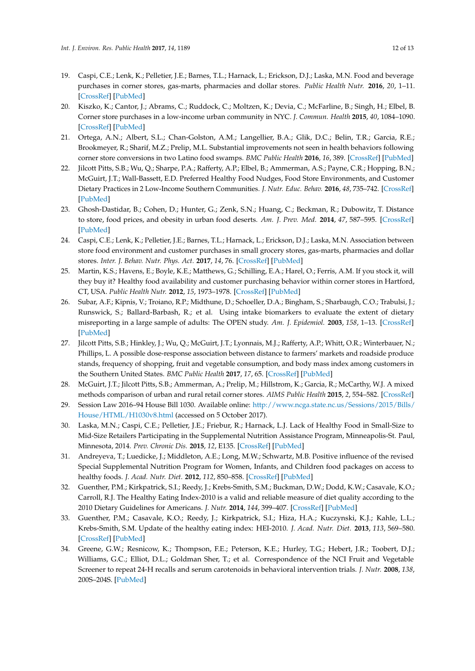- <span id="page-11-0"></span>19. Caspi, C.E.; Lenk, K.; Pelletier, J.E.; Barnes, T.L.; Harnack, L.; Erickson, D.J.; Laska, M.N. Food and beverage purchases in corner stores, gas-marts, pharmacies and dollar stores. *Public Health Nutr.* **2016**, *20*, 1–11. [\[CrossRef\]](http://dx.doi.org/10.1017/S1368980016002524) [\[PubMed\]](http://www.ncbi.nlm.nih.gov/pubmed/27641618)
- <span id="page-11-1"></span>20. Kiszko, K.; Cantor, J.; Abrams, C.; Ruddock, C.; Moltzen, K.; Devia, C.; McFarline, B.; Singh, H.; Elbel, B. Corner store purchases in a low-income urban community in NYC. *J. Commun. Health* **2015**, *40*, 1084–1090. [\[CrossRef\]](http://dx.doi.org/10.1007/s10900-015-0033-1) [\[PubMed\]](http://www.ncbi.nlm.nih.gov/pubmed/25910485)
- <span id="page-11-2"></span>21. Ortega, A.N.; Albert, S.L.; Chan-Golston, A.M.; Langellier, B.A.; Glik, D.C.; Belin, T.R.; Garcia, R.E.; Brookmeyer, R.; Sharif, M.Z.; Prelip, M.L. Substantial improvements not seen in health behaviors following corner store conversions in two Latino food swamps. *BMC Public Health* **2016**, *16*, 389. [\[CrossRef\]](http://dx.doi.org/10.1186/s12889-016-3074-1) [\[PubMed\]](http://www.ncbi.nlm.nih.gov/pubmed/27169514)
- <span id="page-11-3"></span>22. Jilcott Pitts, S.B.; Wu, Q.; Sharpe, P.A.; Rafferty, A.P.; Elbel, B.; Ammerman, A.S.; Payne, C.R.; Hopping, B.N.; McGuirt, J.T.; Wall-Bassett, E.D. Preferred Healthy Food Nudges, Food Store Environments, and Customer Dietary Practices in 2 Low-Income Southern Communities. *J. Nutr. Educ. Behav.* **2016**, *48*, 735–742. [\[CrossRef\]](http://dx.doi.org/10.1016/j.jneb.2016.08.001) [\[PubMed\]](http://www.ncbi.nlm.nih.gov/pubmed/27692628)
- <span id="page-11-4"></span>23. Ghosh-Dastidar, B.; Cohen, D.; Hunter, G.; Zenk, S.N.; Huang, C.; Beckman, R.; Dubowitz, T. Distance to store, food prices, and obesity in urban food deserts. *Am. J. Prev. Med.* **2014**, *47*, 587–595. [\[CrossRef\]](http://dx.doi.org/10.1016/j.amepre.2014.07.005) [\[PubMed\]](http://www.ncbi.nlm.nih.gov/pubmed/25217097)
- <span id="page-11-5"></span>24. Caspi, C.E.; Lenk, K.; Pelletier, J.E.; Barnes, T.L.; Harnack, L.; Erickson, D.J.; Laska, M.N. Association between store food environment and customer purchases in small grocery stores, gas-marts, pharmacies and dollar stores. *Inter. J. Behav. Nutr. Phys. Act.* **2017**, *14*, 76. [\[CrossRef\]](http://dx.doi.org/10.1186/s12966-017-0531-x) [\[PubMed\]](http://www.ncbi.nlm.nih.gov/pubmed/28583131)
- <span id="page-11-6"></span>25. Martin, K.S.; Havens, E.; Boyle, K.E.; Matthews, G.; Schilling, E.A.; Harel, O.; Ferris, A.M. If you stock it, will they buy it? Healthy food availability and customer purchasing behavior within corner stores in Hartford, CT, USA. *Public Health Nutr.* **2012**, *15*, 1973–1978. [\[CrossRef\]](http://dx.doi.org/10.1017/S1368980011003387) [\[PubMed\]](http://www.ncbi.nlm.nih.gov/pubmed/22230347)
- <span id="page-11-7"></span>26. Subar, A.F.; Kipnis, V.; Troiano, R.P.; Midthune, D.; Schoeller, D.A.; Bingham, S.; Sharbaugh, C.O.; Trabulsi, J.; Runswick, S.; Ballard-Barbash, R.; et al. Using intake biomarkers to evaluate the extent of dietary misreporting in a large sample of adults: The OPEN study. *Am. J. Epidemiol.* **2003**, *158*, 1–13. [\[CrossRef\]](http://dx.doi.org/10.1093/aje/kwg092) [\[PubMed\]](http://www.ncbi.nlm.nih.gov/pubmed/12835280)
- <span id="page-11-8"></span>27. Jilcott Pitts, S.B.; Hinkley, J.; Wu, Q.; McGuirt, J.T.; Lyonnais, M.J.; Rafferty, A.P.; Whitt, O.R.; Winterbauer, N.; Phillips, L. A possible dose-response association between distance to farmers' markets and roadside produce stands, frequency of shopping, fruit and vegetable consumption, and body mass index among customers in the Southern United States. *BMC Public Health* **2017**, *17*, 65. [\[CrossRef\]](http://dx.doi.org/10.1186/s12889-016-3943-7) [\[PubMed\]](http://www.ncbi.nlm.nih.gov/pubmed/28077113)
- <span id="page-11-9"></span>28. McGuirt, J.T.; Jilcott Pitts, S.B.; Ammerman, A.; Prelip, M.; Hillstrom, K.; Garcia, R.; McCarthy, W.J. A mixed methods comparison of urban and rural retail corner stores. *AIMS Public Health* **2015**, *2*, 554–582. [\[CrossRef\]](http://dx.doi.org/10.3934/publichealth.2015.3.554)
- <span id="page-11-10"></span>29. Session Law 2016–94 House Bill 1030. Available online: [http://www.ncga.state.nc.us/Sessions/2015/Bills/](http://www.ncga.state.nc.us/Sessions/2015/Bills/House/HTML/H1030v8.html) [House/HTML/H1030v8.html](http://www.ncga.state.nc.us/Sessions/2015/Bills/House/HTML/H1030v8.html) (accessed on 5 October 2017).
- <span id="page-11-11"></span>30. Laska, M.N.; Caspi, C.E.; Pelletier, J.E.; Friebur, R.; Harnack, L.J. Lack of Healthy Food in Small-Size to Mid-Size Retailers Participating in the Supplemental Nutrition Assistance Program, Minneapolis-St. Paul, Minnesota, 2014. *Prev. Chronic Dis.* **2015**, *12*, E135. [\[CrossRef\]](http://dx.doi.org/10.5888/pcd12.150171) [\[PubMed\]](http://www.ncbi.nlm.nih.gov/pubmed/26312380)
- <span id="page-11-12"></span>31. Andreyeva, T.; Luedicke, J.; Middleton, A.E.; Long, M.W.; Schwartz, M.B. Positive influence of the revised Special Supplemental Nutrition Program for Women, Infants, and Children food packages on access to healthy foods. *J. Acad. Nutr. Diet.* **2012**, *112*, 850–858. [\[CrossRef\]](http://dx.doi.org/10.1016/j.jand.2012.02.019) [\[PubMed\]](http://www.ncbi.nlm.nih.gov/pubmed/22709812)
- <span id="page-11-13"></span>32. Guenther, P.M.; Kirkpatrick, S.I.; Reedy, J.; Krebs-Smith, S.M.; Buckman, D.W.; Dodd, K.W.; Casavale, K.O.; Carroll, R.J. The Healthy Eating Index-2010 is a valid and reliable measure of diet quality according to the 2010 Dietary Guidelines for Americans. *J. Nutr.* **2014**, *144*, 399–407. [\[CrossRef\]](http://dx.doi.org/10.3945/jn.113.183079) [\[PubMed\]](http://www.ncbi.nlm.nih.gov/pubmed/24453128)
- <span id="page-11-14"></span>33. Guenther, P.M.; Casavale, K.O.; Reedy, J.; Kirkpatrick, S.I.; Hiza, H.A.; Kuczynski, K.J.; Kahle, L.L.; Krebs-Smith, S.M. Update of the healthy eating index: HEI-2010. *J. Acad. Nutr. Diet.* **2013**, *113*, 569–580. [\[CrossRef\]](http://dx.doi.org/10.1016/j.jand.2012.12.016) [\[PubMed\]](http://www.ncbi.nlm.nih.gov/pubmed/23415502)
- <span id="page-11-15"></span>34. Greene, G.W.; Resnicow, K.; Thompson, F.E.; Peterson, K.E.; Hurley, T.G.; Hebert, J.R.; Toobert, D.J.; Williams, G.C.; Elliot, D.L.; Goldman Sher, T.; et al. Correspondence of the NCI Fruit and Vegetable Screener to repeat 24-H recalls and serum carotenoids in behavioral intervention trials. *J. Nutr.* **2008**, *138*, 200S–204S. [\[PubMed\]](http://www.ncbi.nlm.nih.gov/pubmed/18156425)